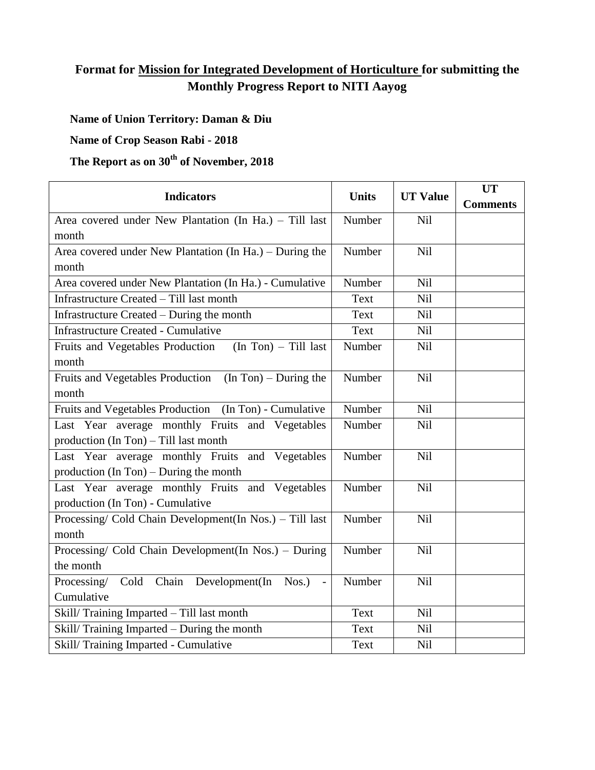# **Format for Mission for Integrated Development of Horticulture for submitting the Monthly Progress Report to NITI Aayog**

## **Name of Union Territory: Daman & Diu**

#### **Name of Crop Season Rabi - 2018**

# **The Report as on 30th of November, 2018**

| <b>Indicators</b>                                           | <b>Units</b> | <b>UT Value</b> | <b>UT</b>       |
|-------------------------------------------------------------|--------------|-----------------|-----------------|
|                                                             |              |                 | <b>Comments</b> |
| Area covered under New Plantation (In Ha.) - Till last      | Number       | <b>Nil</b>      |                 |
| month                                                       |              |                 |                 |
| Area covered under New Plantation (In Ha.) – During the     | Number       | Nil             |                 |
| month                                                       |              |                 |                 |
| Area covered under New Plantation (In Ha.) - Cumulative     | Number       | Nil             |                 |
| Infrastructure Created - Till last month                    | Text         | Nil             |                 |
| Infrastructure Created – During the month                   | Text         | Nil             |                 |
| <b>Infrastructure Created - Cumulative</b>                  | Text         | Nil             |                 |
| Fruits and Vegetables Production<br>$(In Ton) - Till last$  | Number       | <b>Nil</b>      |                 |
| month                                                       |              |                 |                 |
| Fruits and Vegetables Production<br>$(In Ton)$ – During the | Number       | Nil             |                 |
| month                                                       |              |                 |                 |
| Fruits and Vegetables Production (In Ton) - Cumulative      | Number       | <b>Nil</b>      |                 |
| Last Year average monthly Fruits and Vegetables             | Number       | Nil             |                 |
| production (In Ton) - Till last month                       |              |                 |                 |
| Last Year average monthly Fruits and Vegetables             | Number       | Nil             |                 |
| production $(In Ton)$ – During the month                    |              |                 |                 |
| Last Year average monthly Fruits and Vegetables             | Number       | Nil             |                 |
| production (In Ton) - Cumulative                            |              |                 |                 |
| Processing/ Cold Chain Development(In Nos.) - Till last     | Number       | Nil             |                 |
| month                                                       |              |                 |                 |
| Processing/ Cold Chain Development(In Nos.) – During        | Number       | Nil             |                 |
| the month                                                   |              |                 |                 |
| Processing/ Cold Chain Development(In Nos.) -               | Number       | Nil             |                 |
| Cumulative                                                  |              |                 |                 |
| Skill/Training Imparted - Till last month                   | Text         | Nil             |                 |
| Skill/Training Imparted – During the month                  | Text         | Nil             |                 |
| Skill/ Training Imparted - Cumulative                       | Text         | Nil             |                 |